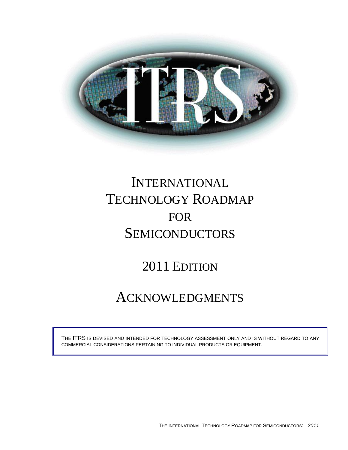

# INTERNATIONAL TECHNOLOGY ROADMAP FOR **SEMICONDUCTORS**

## 2011 EDITION

## ACKNOWLEDGMENTS

THE ITRS IS DEVISED AND INTENDED FOR TECHNOLOGY ASSESSMENT ONLY AND IS WITHOUT REGARD TO ANY COMMERCIAL CONSIDERATIONS PERTAINING TO INDIVIDUAL PRODUCTS OR EQUIPMENT.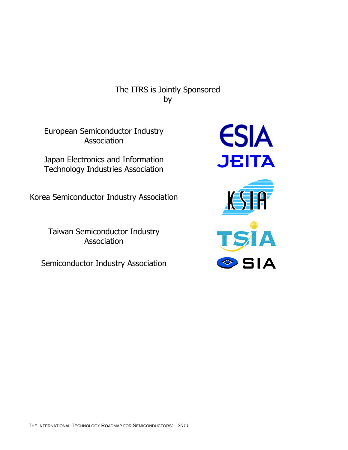The ITRS is Jointly Sponsored by

European Semiconductor Industry **Association** 

Japan Electronics and Information Technology Industries Association

Korea Semiconductor Industry Association

Taiwan Semiconductor Industry **Association** 

Semiconductor Industry Association

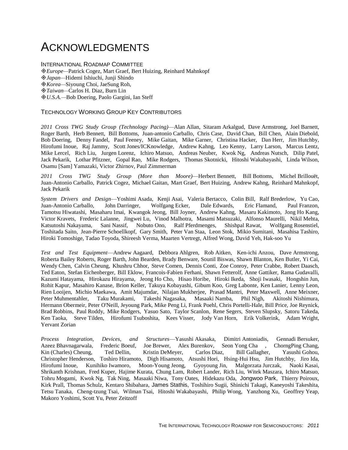### ACKNOWLEDGMENTS

INTERNATIONAL ROADMAP COMMITTEE

*Europe—*Patrick Cogez, Mart Graef, Bert Huizing, Reinhard Mahnkopf

*Japan—*Hidemi Ishiuchi, Junji Shindo

*Korea—*Siyoung Choi, JaeSung Roh,

*Taiwan—*Carlos H. Diaz, Burn Lin

*U.S.A.—*Bob Doering, Paolo Gargini, Ian Steff

### TECHNOLOGY WORKING GROUP KEY CONTRIBUTORS

*2011 Cross TWG Study Group (Technology Pacing)*—Alan Allan, Sitaram Arkalgud, Dave Armstrong, Joel Barnett, Roger Barth, Herb Bennett, Bill Bottoms, Juan-antonio Carballo, Chris Case, David Chan, Bill Chen, Alain Diebold, Bob Doering, Denny Fandel, Paul Feeney, Mike Gaitan, Mike Garner, Christina Hacker, Dan Herr, Jim Hutchby, Hirofumi Inoue, Raj Jammy, Scott Jones/ICKnowledge, Andrew Kahng, Leo Kenny, Larry Larson, Marcus Lentz, Mike Lercel, Rich Liu, Jurgen Lorenz, Ichiro Matsuo, Andreas Neuber, Kwok Ng, Andreas Nutsch, Dilip Patel, Jack Pekarik, Lothar Pfitzner, Gopal Rao, Mike Rodgers, Thomas Skotnicki, Hitoshi Wakabayashi, Linda Wilson, Osamu [Sam] Yamazaki, Victor Zhirnov, Paul Zimmerman

*2011 Cross TWG Study Group (More than Moore)*—Herbert Bennett, Bill Bottoms, Michel Brillouët, Juan-Antonio Carballo, Patrick Cogez, Michael Gaitan, Mart Graef, Bert Huizing, Andrew Kahng, Reinhard Mahnkopf, Jack Pekarik

*System Drivers and Design*—Yoshimi Asada, Kenji Asai, Valeria Bertacco, Colin Bill, Ralf Brederlow, Yu Cao, Juan-Antonio Carballo, John Darringer, Wolfgang Ecker, Dale Edwards, Eric Flamand, Paul Franzon, Tamotsu Hiwatashi, Masaharu Imai, Kwangok Jeong, Bill Joyner, Andrew Kahng, Masaru Kakimoto, Jong Ho Kang, Victor Kravets, Frederic Lalanne, Jingwei Lu, Vinod Malhotra, Masami Matsuzaki, Alfonso Maurelli, Nikil Mehta, Katsutoshi Nakayama, Sani Nassif, Nobuto Ono, Ralf Pferdmenges, Shishpal Rawat, Wolfgang Rosenstiel, Toshitada Saito, Jean-Pierre Schoellkopf, Gary Smith, Peter Van Staa, Leon Stok, Mikio Sumitani, Masahisa Tashiro, Hiroki Tomoshige, Tadao Toyoda, Shireesh Verma, Maarten Vertregt, Alfred Wong, David Yeh, Hak-soo Yu

*Test and Test Equipment*—Andrew Aagaard, Debbora Ahlgren, Rob Aitken, Ken-ichi Anzou, Dave Armstrong, Roberta Bailey Roberts, Roger Barth, John Bearden, Brady Benware, Sounil Biswas, Shawn Blanton, Ken Butler, Yi Cai, Wendy Chen, Calvin Cheung, Khushru Chhor, Steve Comen, Dennis Conti, Zoe Conroy, Peter Crabbe, Robert Daasch, Ted Eaton, Stefan Eichenberger, Bill Eklow, Francois-Fabien Ferhani, Shawn Fetterolf, Anne Gattiker, Rama Gudavalli, Kazumi Hatayama, Hirokazu Hirayama, Jeong Ho Cho, Hisao Horibe, Hiroki Ikeda, Shoji Iwasaki, Hongshin Jun, Rohit Kapur, Masahiro Kanase, Brion Keller, Takuya Kobayashi, Gibum Koo, Greg Labonte, Ken Lanier, Lenny Leon, Rien Looijen, Michio Maekawa, Amit Majumdar, Nilajan Mukherjee, Prasad Mantri, Peter Maxwell, Anne Meixner, Peter Muhmentahler, Taku Murakami, Takeshi Nagasaka, Masaaki Namba, Phil Nigh, Akitoshi Nishimura, Hermann Obermeir, Peter O'Neill, Jeyoung Park, Mike Peng Li, Frank Poehl, Chris Portelli-Hale, Bill Price, Joe Reynick, Brad Robbins, Paul Roddy, Mike Rodgers, Yasuo Sato, Taylor Scanlon, Rene Segers, Steven Slupsky, Satoru Takeda, Ken Taoka, Steve Tilden, Hirofumi Tsuboshita, Kees Visser, Jody Van Horn, Erik Volkerink, Adam Wright, Yervant Zorian

*Process Integration, Devices, and Structures*—Yasushi Akasaka, Dimitri Antoniadis, Gennadi Bersuker, Azeez Bhavnagarwala, Frederic Boeuf, Joe Brewer, Alex Burenkov, Seon Yong Cha , ChorngPing Chang, Kin (Charles) Cheung, Ted Dellin, Kristin DeMeyer, Carlos Diaz, Bill Gallagher, Yasushi Gohou, Christopher Henderson, Toshiro Hiramoto, Digh Hisamoto, Atsushi Hori, Hsing-Hui Hsu, Jim Hutchby, Jiro Ida, Hirofumi Inoue, Kunihiko Iwamoro, Moon-Young Jeong, Gyoyoung Jin, Malgorzata Jurczak, Naoki Kasai, Shrikanth Krishnan, Fred Kuper, Hajime Kurata, Chung Lam, Robert Lander, Rich Liu, Witek Maszara, Ichiro Matsuo, Tohru Mogami, Kwok Ng, Tak Ning, Masaaki Niwa, Tony Oates, Hidekazu Oda, Jongwoo Park, Thierry Poiroux, Kirk Prall, Thomas Schulz, Kentaro Shibahara, James Stathis, Toshihiro Sugii, Shinichi Takagi, Kaneyoshi Takeshita, Tetsu Tanaka, Cheng-tzung Tsai, Wilman Tsai, Hitoshi Wakabayashi, Philip Wong, Yanzhong Xu, Geoffrey Yeap, Makoro Yoshimi, Scott Yu, Peter Zeitzoff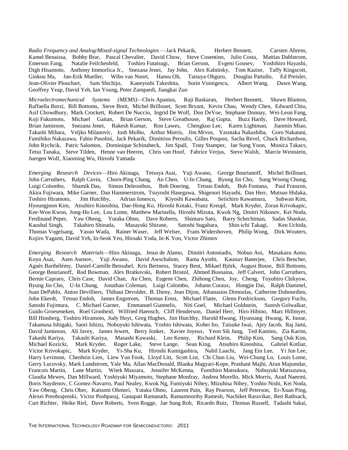*Radio Frequency and Analog/Mixed-signal Technologies* —Jack Pekarik, Herbert Bennett, Carsten Ahrens, Kamel Benaissa, Bobby Brar, Pascal Chevalier, David Chow, Steve Cosentino, Julio Costa, Mattias Dahlstrom, Emerson Fang, Natalie Feilchenfeld, Toshiro Futatsugi, Brian Gerson, Evgeni Gousev, Yoshihiro Hayashi, Digh Hisamoto, Anthony Immorlica Jr., Snezana Jenei, Jay John, Alex Kalnitsky, Tom Kazior, Taffy Kingscott, Ginkou Ma, Jan-Erik Mueller, Wibo van Noort, Hansu Oh, Tatsuya Ohguro, Douglas Pattullo, Ed Preisler, Jean-Olivier Plouchart, Sam Shichijo, Kaneyoshi Takeshita, Sorin Voinigescu, Albert Wang, Dawn Wang, Geoffrey Yeap, David Yeh, Ian Young, Peter Zampardi, Jiangkai Zuo

*Microelectromechanical Systems (MEMS)—*Chris Apanius, Raji Baskaran, Herbert Bennett, Shawn Blanton, Raffaella Borzi, Bill Bottoms, Steve Breit, Michel Brillouet, Scott Bryant, Kevin Chau, Wendy Chen, Edward Chiu, Asif Chowdhury, Mark Crockett, Robert De Nuccio, Ingrid De Wolf, Don DeVoe, Stephane Donnay, Wei-Leun Fang, Koji Fukumoto, Michael Gaitan, Brian Gerson, Steve Greathouse, Raj Gupta, Buzz Hardy, Dave Howard, Brian Jamieson, Snezana Jenei, Rakesh Kumar, Ron Lawes, Chengkuo Lee, Karen Lightman, Jianmin Miao, Takashi Mihara, Veljko Milanovic, Josh Molho, Arthur Morris, Jim Mrvos, Yasutaka Nakashiba, Goro Nakatani, Fumihiko Nakazawa, Fabio Pasolini, Jack Pekarik, Dimitrios Peroulis, Gilles Poupon, Sacha Revel, Chuck Richardson, John Rychcik, Patric Salomon, Dominique Schinabeck, Jim Spall, Tony Stamper, Jae Sung Yoon, Monica Takacs, Tetsu Tanaka, Steve Tilden, Henne van Heeren, Chris van Hoof, Fabrice Verjus, Steve Walsh, Marcie Weinstein, Juergen Wolf, Xiaoming Wu, Hiroshi Yamada

*Emerging Research Devices*—Hiro Akinaga, Tetsuya Asai, Yuji Awano, George Bourianoff, Michel Brillouet, John Carruthers, Ralph Cavin, Chorn-Ping Chang, An Chen, U-In Chung, Byung Jin Cho, Sung Woong Chung, Luigi Colombo, Shamik Das, Simon Deleonibus, Bob Doering, Tetsuo Endoh, Bob Fontana, Paul Franzon, Akira Fujiwara, Mike Garner, Dan Hammerstrom, Tsuyoshi Hasegawa, Shigenori Hayashi, Dan Herr, Mutsuo Hidaka, Toshiro Hiramoto, Jim Hutchby, Adrian Ionescu, Kiyoshi Kawabata, Seiichiro Kawamura, Suhwan Kim, Hyoungjoon Kim, Atsuhiro Kinoshita, Dae-Hong Ko, Hiroshi Kotaki, Franz Kreupl, Mark Kryder, Zoran Krivokapic, Kee-Won Kwon, Jong-Ho Lee, Lou Lome, Matthew Marinella, Hiroshi Mizuta, Kwok Ng, Dmitri Nikonov, Kei Noda, Ferdinand Peper, Yaw Obeng, Yutaka Ohno, Dave Roberts, Shintaro Sato, Barry Schechtman, Sadas Shankar, Kaushal Singh, Takahiro Shinada, Masayuki Shirane, Satoshi Sugahara, Shin-ichi Takagi, Ken Uchida, Thomas Vogelsang, Yasuo Wada, Rainer Waser, Jeff Welser, Frans Widershoven, Philip Wong, Dirk Wouters, Kojiro Yagami, David Yeh, In-Seok Yeo, Hiroaki Yoda, In-K Yoo, Victor Zhimov

*Emerging Research Materials*—Hiro Akinaga, Jesus de Alamo, Dimitri Antoniadis, Nobuo Aoi, Masakazu Aono, Koyu Asai, Asen Asenov, Yuji Awano, David Awschalom, Rama Ayothi, Kaustav Banerjee, Chris Bencher, Agnès Barthélémy, Daniel-Camille Bensahel, Kris Bertness, Stacey Bent, Mikael Björk, August Bosse, Bill Bottoms, George Bourianoff, Rod Bowman, Alex Bratkovski, Robert Bristol, Ahmed Busnaina, Jeff Calvert, John Carruthers, Bernie Capraro, Chris Case, David Chan, An Chen, Eugene Chen, Zhihong Chen, Joy, Cheng, Toyohiro Chikyow, Byung Jin Cho, U-In Chung, Jonathan Coleman, Luigi Colombo, Johann Coraux, Hongjie Dai, Ralph Dammel, Juan DePablo, Anton Devilliers, Thibaut Devolder, B. Dieny, Jean Dijon, Athanasios Dimoulas, Catherine Dubourdieu, John Ekerdt, Tetsuo Endoh, James Engstrom, Thomas Ernst, Michael Flatte, Glenn Fredrickson, Gregory Fuchs, Satoshi Fujimura, C. Michael Garner, Emmanuel Giannelis, Niti Goel, Michael Goldstein, Suresh Golwalkar, Guido Groeseneken, Roel Gronheid, Wilfried Haensch, Cliff Henderson, Daniel Herr, Hiro Hibino, Marc Hillmyer, Bill Hinsberg, Toshiro Hiramoto, Judy Hoyt, Greg Hughes, Jim Hutchby, Harold Hwang, Hyunsang Hwang, K. Inoue, Takamasa Ishigaki, Saori Ishizu, Nobuyuki Ishiwata, Yoshio Ishiwata, Kohei Ito, Taisuke Iwai, Ajey Jacob, Raj Jami, David Jamieson, Ali Javey, James Jewett, Berry Jonker, Xavier Joyeux, Yeon Sik Jung, Ted Kamins, Zia Karim, Takashi Kariya, Masashi Kawaski, Leo Kenny, Richard Klein, Philip Kim, Sang Ouk Kim, Takashi Kariya, Takashi Kariya, Masashi Kawaski, Leo Kenny, Richard Klein, Philip Kim,<br>Michael Kozicki, Mark Kryder, Roger Lake, Steve Lange, Sean King, Atsuhiro Kinoshita, Roger Lake, Steve Lange, Sean King, Atsuhiro Kinoshita, Gabriel Kotliar, Victor Krivokapic, Mark Kryder, Yi-Sha Ku, Hiroshi Kumigashira**,** Nabil Laachi, Jang Ein Lee, Yi Jun Lee, Harry Levinson, Chenhsin Lien, Liew Yun Fook, Lloyd Litt, Scott List, Chi Chun Liu, Wei-Chung Lo, Louis Lome, Gerry Lucovsky, Mark Lundstrom, Yale Ma, Allan MacDonald, Blanka Magyari-Kope, Prashant Majhi, Arun Majumdar, Francois Martin, Lane Martin, Witek Maszara, Jennifer McKenna, Fumihiro Matsukura, Nobuyuki Matsuzawa, Claudia Mewes, Dan Millward, Yoshiyuki Miyamoto, Stephane Monfray, Andrea Morello, Mick Morris, Azad Naeemi, Boris Naydenov, C Gomez-Navarro, Paul Nealey, Kwok Ng, Fumiyuki Nihey, Mizuhisa Nihey, Yoshio Nishi, Kei Noda, Yaw Obeng, Chris Ober, Katsumi Ohmori, Yutaka Ohno, Laurent Pain, Ray Pearson, Jeff Peterson, Er-Xuan Ping, Alexei Preobrajenski, Victor Pushparaj, Ganapati Ramanath, Ramamoorthy Ramesh, Nachiket Raravikar, Ben Rathsack, Curt Richter, Heike Riel, Dave Roberts, Sven Rogge, Jae Sung Roh, Ricardo Ruiz, Thomas Russell, Tadashi Sakai,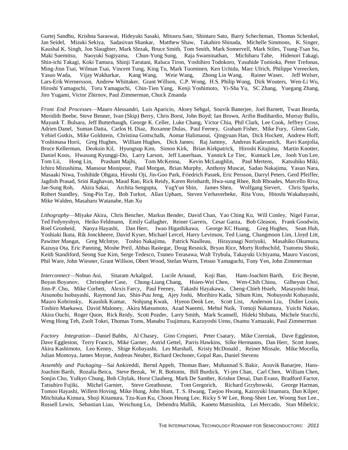Gurtej Sandhu, Krishna Saraswat, Hideyuki Sasaki, Mitusru Sato, Shintaro Sato, Barry Schechtman, Thomas Schenkel, Jan Seidel, Mizuki Sekiya, Sadasivan Shankar, Matthew Shaw, Takahiro Shinada, Michelle Simmons, K. Singer, Kaushal K. Singh, Jon Slaughter, Mark Slezak, Bruce Smith, Tom Smith, Mark Somervell, Mark Stiles, Tsung-Tsan Su, Maki Suemitsu, Naoyuki Sugiyama, Chun-Yung Sung, Raja Swaminathan, Michiharu Tabe, Hidenori Takagi, Shin-ichi Takagi, Koki Tamura, Shinji Tarutani, Raluca Tiron, Yoshihiro Todokoro, Yasuhide Tomioka, Peter Trefonas, Ming-Jinn Tsai, Wilman Tsai, Vincent Tung, King Tu, Mark Tuominen, Ken Uchida, Marc Ulrich, Philippe Vereecken,<br>Yasuo Wada, Viiav Wakharkar, Kang Wang, Weie Wang, Zhong Lin Wang, Rainer Waser, Jeff Welser, Yasuo Wada, Vijay Wakharkar, Kang Wang, Weie Wang, Zhong Lin Wang, Rainer Waser, Jeff Welser, Lars-Erik Wernersson, Andrew Whittaker, Grant Willson, C.P. Wong, H.S. Philip Wong, Dirk Wouters, Wen-Li Wu, Hiroshi Yamaguchi, Toru Yamaguchi, Chin-Tien Yang, Kenji Yoshimoto, Yi-Sha Yu, SC Zhang, Yuegang Zhang, Jiro Yugami, Victor Zhirnov, Paul Zimmerman, Chuck Zmanda

*Front End Processes*—Mauro Alessandri, Luis Aparicio, Aksey Sehgal, Souvik Banerjee, Joel Barnett, Twan Bearda, Meridith Beebe, Steve Benner, Ivan (Skip) Berry, Chris Borst, John Boyd; Ian Brown, Arifin Budihardio, Murray Bullis, Mayank T. Bulsara, Jeff Butterbaugh, George K. Celler, Luke Chang, Victor Chia, Phil Clark, Lee Cook, Jeffrey Cross, Adrien Danel, Suman Datta, Carlos H. Diaz, Roxanne Dulas, Paul Feeney, Graham Fisher, Mike Fury, Glenn Gale, Yehiel Gotkis, Mike Goldstein, Christina Gottschalk, Aomar Halimaoui, Qingyuan Han, Dick Hockett, Andrew Hoff, Yoshimasa Horii, Greg Hughes, William Hughes, Dick James; Raj Jammy, Andreas Kadavanich, Ravi Kanjolia, Bruce Kellerman, Deoksin Kil, Hyungsup Kim, Simon Kirk, Brian Kirkpatrick, Hiroshi Kitajima, Martin Knotter, Daniel Koos, Hwasung Kyunggi-Do, Larry Larson, Jeff Lauerhaas, Yannick Le Tiec, Kuntack Lee, Jooh Yun Lee, Tom Lii, Hong Lin, Prashant Majhi, Tom McKenna, Kevin McLaughlin, Paul Mertens, Katsuhiko Miki, Ichiro Mizushima, Mansour Monipour, Paul Morgan, Brian Murphy, Anthony Muscat, Sadao Nakajima, Yasuo Nara, Masaaki Niwa, Toshihide Ohgata, Hiroshi Oji, Jin-Goo Park, Friedrich Passek, Eric Persson, Darryl Peters, Gerd Pfeiffer, Jagdish Prasad, Srini Raghavan, Maud Rao, Rick Reidy, Karen Reinhardt, Hwa-sung Rhee, Rob Rhoades, Marcello Riva, Jae-Sung Roh, Akira Sakai, Archita Sengupta, YugYun Shin, James Shen, Wolfgang Sievert, Chris Sparks, Robert Standley, Sing-Pin Tay, Bob Turkot, Allan Upham, Steven Verhaverbeke, Rita Voss, Hitoshi Wakabayashi, Mike Walden, Masaharu Watanabe, Han Xu

*Lithography*—Miyake Akira, Chris Bencher, Markus Bender, David Chan, Yao Ching Ku, Will Conley, Nigel Farrar, Ted Fedynyshyn, Heiko Feldmann, Emily Gallagher, Reiner Garreis, Cesar Garza, Bob Gleason, Frank Goodwin, Roel Gronheid, Naoya Hayashi, Dan Herr, Iwao Higashikawa, George KC Huang, Greg Hughes, Sean Huh, Yoshiaki Ikuta, Rik Jonckheere, David Kyser, Michael Lercel, Harry Levinson, Ted Liang, Changmoon Lim, Lloyd Litt, Pawitter Mangat, Greg McIntye, Toshio Nakajima, Patrick Naulleau, Hirayanagi Noriyuki, Masahiko Okumura, Kazuya Ota, Eric Panning, Moshe Preil, Abbas Rastegar, Doug Resnick, Bryan Rice, Morty Rothschild, Tsutomu Shoki, Keith Standiford, Seong Sue Kim, Serge Tedesco, Tsuneo Terasawa, Walt Trybula, Takayuki Uchiyama, Mauro Vasconi, Phil Ware, John Wiesner, Grant Willson, Obert Wood, Stefan Wurm, Tetsuo Yamaguchi, Tony Yen, John Zimmerman

*Interconnect*—Nobuo Aoi, Sitaram Arkalgud, Lucile Arnaud, Koji Ban, Hans-Joachim Barth, Eric Beyne, Boyan Boyanov, Christopher Case, Chung-Liang Chang, Hsien-Wei Chen, Wen-Chih Chiou, Gilheyun Choi, Jinn-P. Chu, Mike Corbett, Alexis Farcy, Paul Feeney, Takashi Hayakawa, Cheng-Chieh Hsieh, Masayoshi Imai, Atsunobu Isobayashi, Raymond Jao, Shin-Puu Jeng, Ajey Joshi, Morihiro Kada, Sibum Kim, Nobuyoshi Kobayashi, Mauro Kobrinsky, Kaushik Kumar, Nohjung Kwak, Hyeon Deok Lee, Scott List, Anderson Liu, Didier Louis, Toshiro Maekawa, David Maloney, Akira Matsumoto, Azad Naeemi, Mehul Naik, Tomoji Nakamura, Yuichi Nakao, Akira Ouchi, Roger Quon, Rick Reidy, Scott Pozder, Larry Smith, Mark Scannell, Hideki Shibata, Michele Stucchi, Weng Hong Teh, Zsolt Tokei, Thomas Toms, Manabu Tsujimura, Kazuyoshi Ueno, Osamu Yamazaki, Paul Zimmerman

*Factory Integration*—Daniel Babbs, Al Chasey, Gino Crispieri, Peter Csatary, Mike Czerniak, Dave Eggleston, Dave Eggleston, Terry Francis, Mike Garner, Astrid Gettel, Parris Hawkins, Silke Hermanns, Dan Herr, Scott Jones, Akira Kashimoto, Leo Kenny, Shige Kobayashi, Les Marshall, Kristy McDonald , Reiner Missale, Mike Mocella, Julian Montoya, James Moyne, Andreas Neuber, Richard Oechsner, Gopal Rao, Daniel Stevens

*Assembly and Packaging*—Sai Ankireddi, Bernd Appelt, Thomas Baer, Muhannad S. Bakir, Aouvik Banarjee, Hans-Joachim Barth, Rozalia Beica, Steve Bezuk, W. R. Bottoms, Bill Burdick, Yi-jen Chan, Carl Chen, William Chen, Sonjin Cho, Yulkyo Chung, Bob Chylak, Horst Clauberg, Mark De Samber, Krishor Desai, Dan Evans, Bradford Factor, Tatsuhiro Fujiki, Michel Garnier, Steve Greathouse, Tom Gregorich, Richard Grzybowski, George Harman, Tomoo Hayashi, Willem Hoving, Mike Hung, John Hunt, T. S. Hwang, Taejoo Hwang, Kazuyuki Imamura, Dan Kilper, Mitchitaka Kimura, Shoji Kitamura, Tzu-Kun Ku, Choon Heung Lee, Ricky S W Lee, Rong-Shen Lee, Woong Sun Lee., Russell Lewis, Sebastian Liau, Weichung Lo, Debendra Mallik, Kaneto Matsushita, Lei Mercado, Stan Mihelcic,